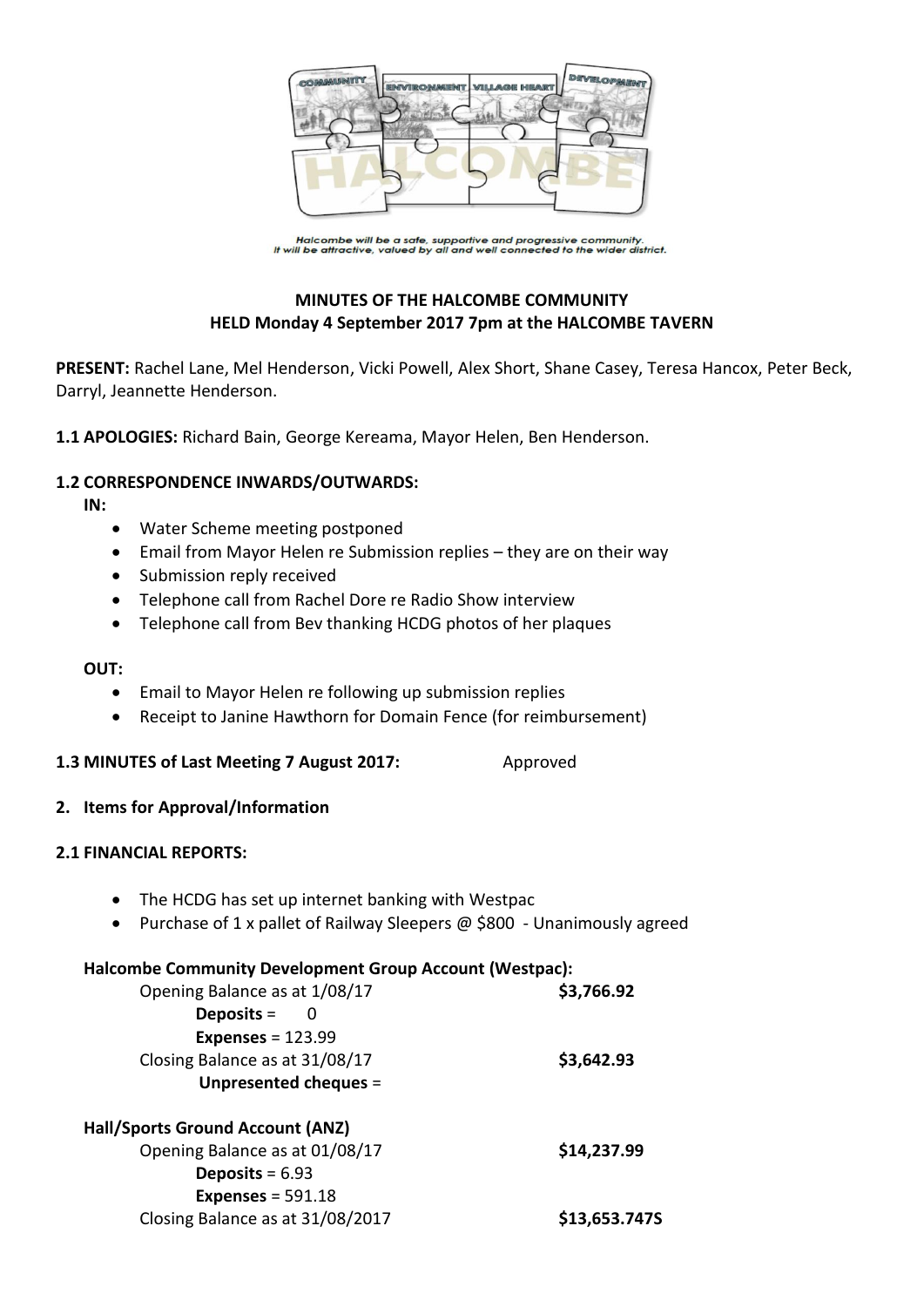

Halcombe will be a safe, supportive and progressive community.<br>It will be attractive, valued by all and well connected to the wider district.

# **MINUTES OF THE HALCOMBE COMMUNITY HELD Monday 4 September 2017 7pm at the HALCOMBE TAVERN**

**PRESENT:** Rachel Lane, Mel Henderson, Vicki Powell, Alex Short, Shane Casey, Teresa Hancox, Peter Beck, Darryl, Jeannette Henderson.

**1.1 APOLOGIES:** Richard Bain, George Kereama, Mayor Helen, Ben Henderson.

## **1.2 CORRESPONDENCE INWARDS/OUTWARDS:**

**IN:** 

- Water Scheme meeting postponed
- Email from Mayor Helen re Submission replies they are on their way
- Submission reply received
- Telephone call from Rachel Dore re Radio Show interview
- Telephone call from Bev thanking HCDG photos of her plaques

## **OUT:**

- Email to Mayor Helen re following up submission replies
- Receipt to Janine Hawthorn for Domain Fence (for reimbursement)

## **1.3 MINUTES of Last Meeting 7 August 2017:** Approved

## **2. Items for Approval/Information**

## **2.1 FINANCIAL REPORTS:**

- The HCDG has set up internet banking with Westpac
- Purchase of 1 x pallet of Railway Sleepers @ \$800 Unanimously agreed

## **Halcombe Community Development Group Account (Westpac):**

| Opening Balance as at 1/08/17           | \$3,766.92    |
|-----------------------------------------|---------------|
| Deposits = $0$                          |               |
| Expenses = $123.99$                     |               |
| Closing Balance as at 31/08/17          | \$3,642.93    |
| Unpresented cheques =                   |               |
| <b>Hall/Sports Ground Account (ANZ)</b> |               |
| Opening Balance as at 01/08/17          | \$14,237.99   |
| Deposits = $6.93$                       |               |
| Expenses = $591.18$                     |               |
| Closing Balance as at 31/08/2017        | \$13,653.747S |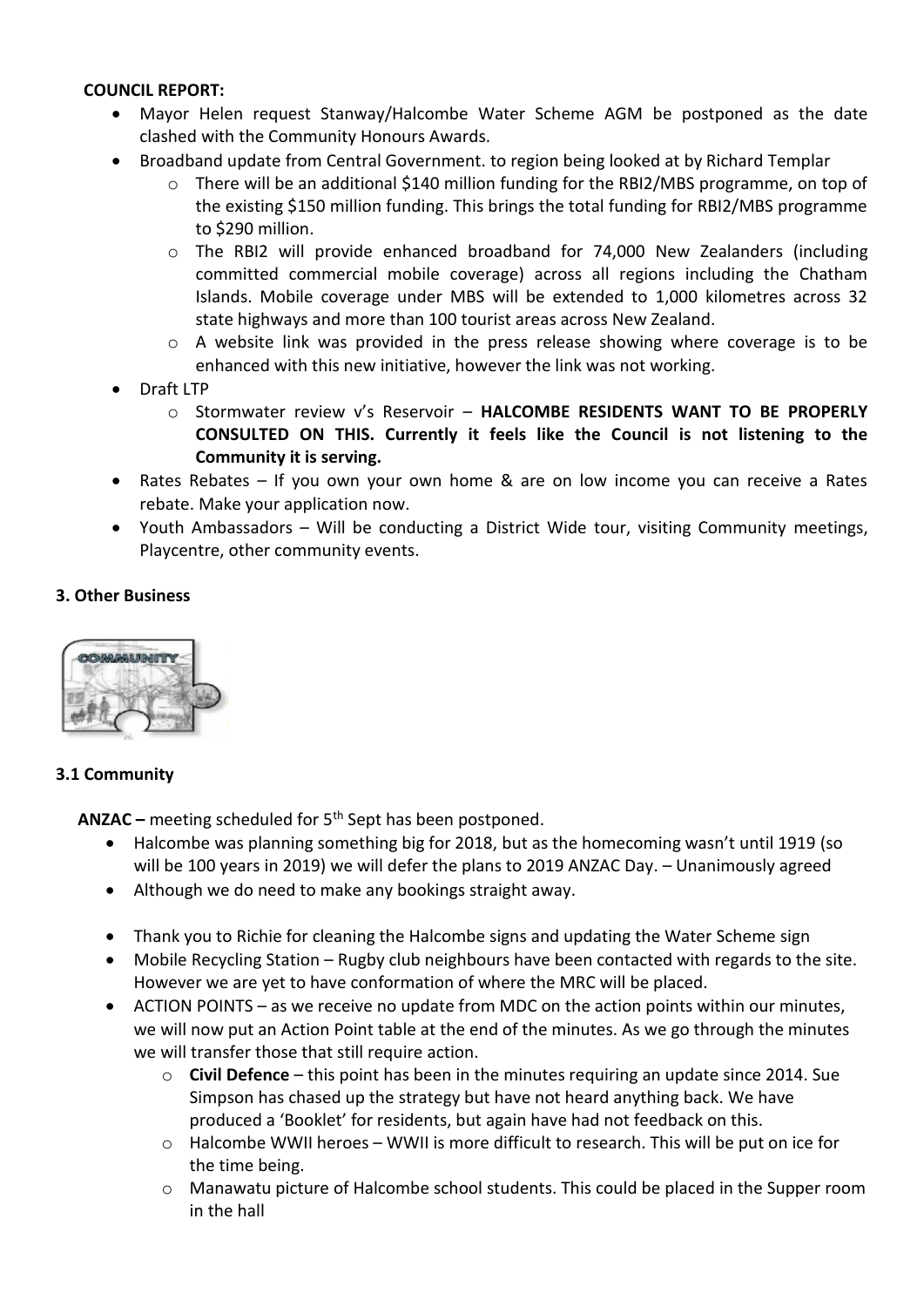## **COUNCIL REPORT:**

- Mayor Helen request Stanway/Halcombe Water Scheme AGM be postponed as the date clashed with the Community Honours Awards.
- Broadband update from Central Government. to region being looked at by Richard Templar
	- $\circ$  There will be an additional \$140 million funding for the RBI2/MBS programme, on top of the existing \$150 million funding. This brings the total funding for RBI2/MBS programme to \$290 million.
	- $\circ$  The RBI2 will provide enhanced broadband for 74,000 New Zealanders (including committed commercial mobile coverage) across all regions including the Chatham Islands. Mobile coverage under MBS will be extended to 1,000 kilometres across 32 state highways and more than 100 tourist areas across New Zealand.
	- o A website link was provided in the press release showing where coverage is to be enhanced with this new initiative, however the link was not working.
- Draft LTP
	- o Stormwater review v's Reservoir **HALCOMBE RESIDENTS WANT TO BE PROPERLY CONSULTED ON THIS. Currently it feels like the Council is not listening to the Community it is serving.**
- Rates Rebates If you own your own home & are on low income you can receive a Rates rebate. Make your application now.
- Youth Ambassadors Will be conducting a District Wide tour, visiting Community meetings, Playcentre, other community events.

## **3. Other Business**



## **3.1 Community**

**ANZAC –** meeting scheduled for 5th Sept has been postponed.

- Halcombe was planning something big for 2018, but as the homecoming wasn't until 1919 (so will be 100 years in 2019) we will defer the plans to 2019 ANZAC Day. – Unanimously agreed
- Although we do need to make any bookings straight away.
- Thank you to Richie for cleaning the Halcombe signs and updating the Water Scheme sign
- Mobile Recycling Station Rugby club neighbours have been contacted with regards to the site. However we are yet to have conformation of where the MRC will be placed.
- ACTION POINTS as we receive no update from MDC on the action points within our minutes, we will now put an Action Point table at the end of the minutes. As we go through the minutes we will transfer those that still require action.
	- o **Civil Defence** this point has been in the minutes requiring an update since 2014. Sue Simpson has chased up the strategy but have not heard anything back. We have produced a 'Booklet' for residents, but again have had not feedback on this.
	- o Halcombe WWII heroes WWII is more difficult to research. This will be put on ice for the time being.
	- o Manawatu picture of Halcombe school students. This could be placed in the Supper room in the hall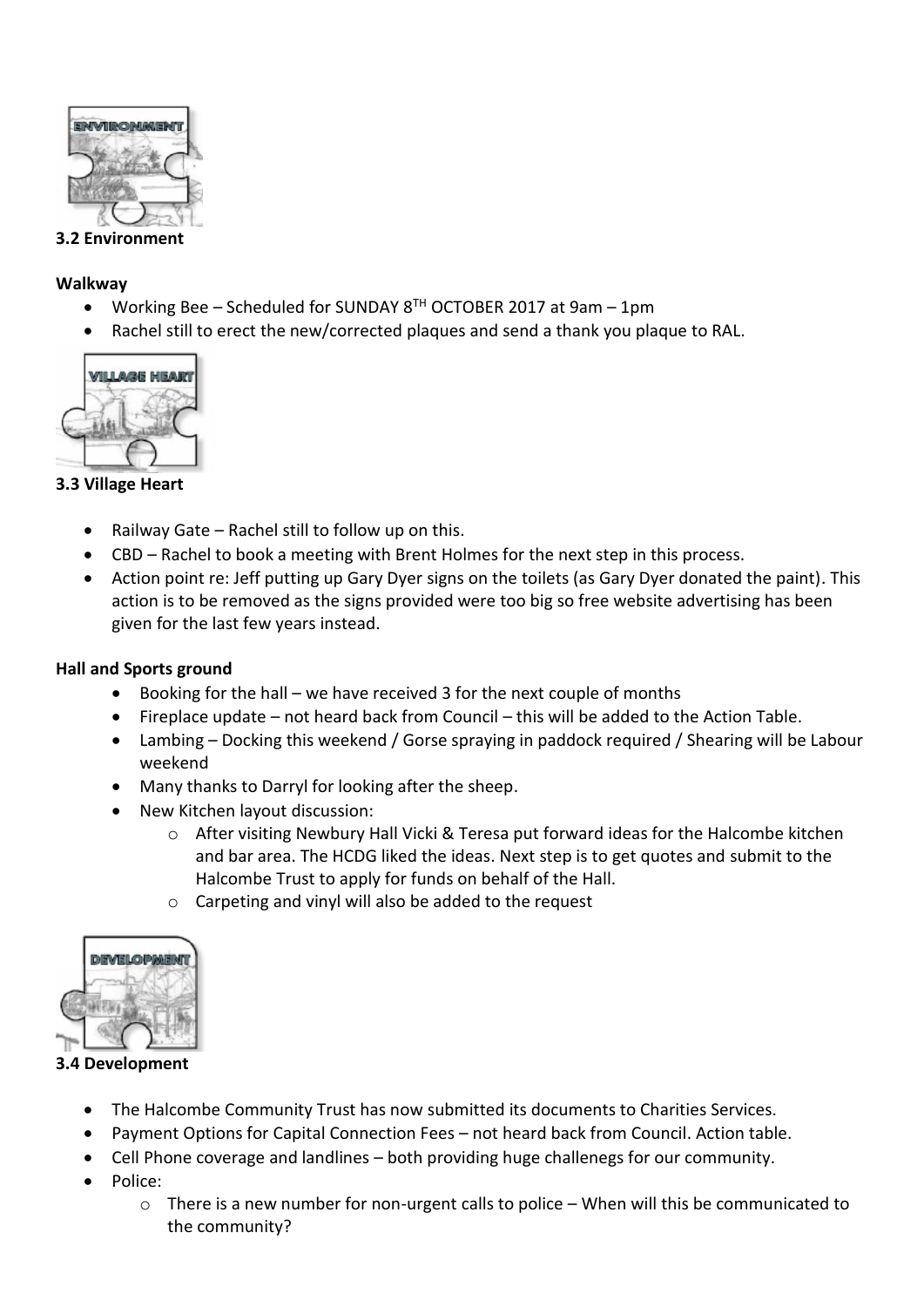

## **3.2 Environment**

#### **Walkway**

- Working Bee Scheduled for SUNDAY  $8^{TH}$  OCTOBER 2017 at 9am 1pm
- Rachel still to erect the new/corrected plaques and send a thank you plaque to RAL.



## **3.3 Village Heart**

- Railway Gate Rachel still to follow up on this.
- CBD Rachel to book a meeting with Brent Holmes for the next step in this process.
- Action point re: Jeff putting up Gary Dyer signs on the toilets (as Gary Dyer donated the paint). This action is to be removed as the signs provided were too big so free website advertising has been given for the last few years instead.

## **Hall and Sports ground**

- Booking for the hall we have received 3 for the next couple of months
- Fireplace update not heard back from Council this will be added to the Action Table.
- Lambing Docking this weekend / Gorse spraying in paddock required / Shearing will be Labour weekend
- Many thanks to Darryl for looking after the sheep.
- New Kitchen layout discussion:
	- o After visiting Newbury Hall Vicki & Teresa put forward ideas for the Halcombe kitchen and bar area. The HCDG liked the ideas. Next step is to get quotes and submit to the Halcombe Trust to apply for funds on behalf of the Hall.
	- o Carpeting and vinyl will also be added to the request



**3.4 Development**

- The Halcombe Community Trust has now submitted its documents to Charities Services.
- Payment Options for Capital Connection Fees not heard back from Council. Action table.
- Cell Phone coverage and landlines both providing huge challenegs for our community.
- Police:
	- $\circ$  There is a new number for non-urgent calls to police When will this be communicated to the community?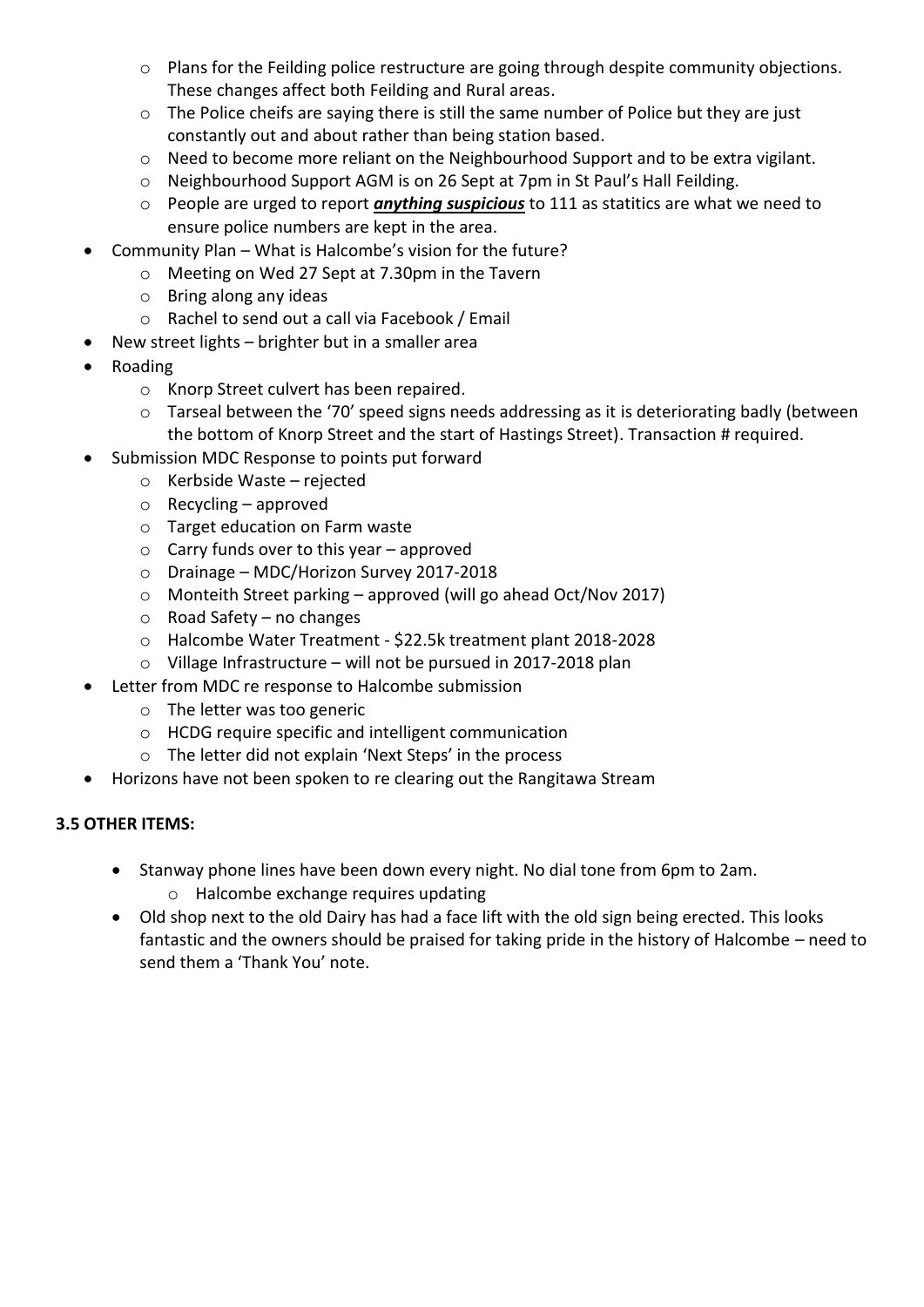- o Plans for the Feilding police restructure are going through despite community objections. These changes affect both Feilding and Rural areas.
- o The Police cheifs are saying there is still the same number of Police but they are just constantly out and about rather than being station based.
- o Need to become more reliant on the Neighbourhood Support and to be extra vigilant.
- o Neighbourhood Support AGM is on 26 Sept at 7pm in St Paul's Hall Feilding.
- o People are urged to report *anything suspicious* to 111 as statitics are what we need to ensure police numbers are kept in the area.
- Community Plan What is Halcombe's vision for the future?
	- o Meeting on Wed 27 Sept at 7.30pm in the Tavern
	- o Bring along any ideas
	- o Rachel to send out a call via Facebook / Email
- New street lights brighter but in a smaller area
- Roading
	- o Knorp Street culvert has been repaired.
	- o Tarseal between the '70' speed signs needs addressing as it is deteriorating badly (between the bottom of Knorp Street and the start of Hastings Street). Transaction # required.
	- Submission MDC Response to points put forward
		- o Kerbside Waste rejected
		- o Recycling approved
		- o Target education on Farm waste
		- $\circ$  Carry funds over to this year approved
		- o Drainage MDC/Horizon Survey 2017-2018
		- o Monteith Street parking approved (will go ahead Oct/Nov 2017)
		- o Road Safety no changes
		- o Halcombe Water Treatment \$22.5k treatment plant 2018-2028
		- o Village Infrastructure will not be pursued in 2017-2018 plan
- Letter from MDC re response to Halcombe submission
	- o The letter was too generic
	- o HCDG require specific and intelligent communication
	- o The letter did not explain 'Next Steps' in the process
- Horizons have not been spoken to re clearing out the Rangitawa Stream

# **3.5 OTHER ITEMS:**

- Stanway phone lines have been down every night. No dial tone from 6pm to 2am.
	- o Halcombe exchange requires updating
- Old shop next to the old Dairy has had a face lift with the old sign being erected. This looks fantastic and the owners should be praised for taking pride in the history of Halcombe – need to send them a 'Thank You' note.